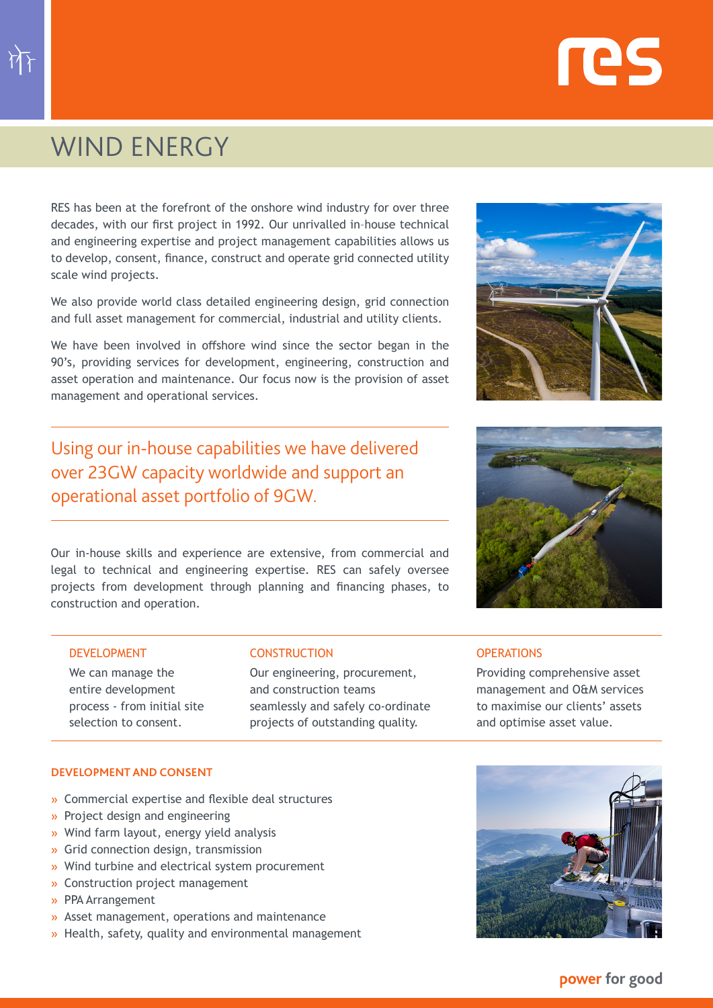# WIND ENERGY

RES has been at the forefront of the onshore wind industry for over three decades, with our first project in 1992. Our unrivalled in–house technical and engineering expertise and project management capabilities allows us to develop, consent, finance, construct and operate grid connected utility scale wind projects.

We also provide world class detailed engineering design, grid connection and full asset management for commercial, industrial and utility clients.

We have been involved in offshore wind since the sector began in the 90's, providing services for development, engineering, construction and asset operation and maintenance. Our focus now is the provision of asset management and operational services.

Using our in-house capabilities we have delivered over 23GW capacity worldwide and support an operational asset portfolio of 9GW.

Our in-house skills and experience are extensive, from commercial and legal to technical and engineering expertise. RES can safely oversee projects from development through planning and financing phases, to construction and operation.



#### DEVELOPMENT

We can manage the entire development process - from initial site selection to consent.

### **CONSTRUCTION**

Our engineering, procurement, and construction teams seamlessly and safely co-ordinate projects of outstanding quality.

#### **OPERATIONS**

Providing comprehensive asset management and O&M services to maximise our clients' assets and optimise asset value.

#### **DEVELOPMENT AND CONSENT**

- » Commercial expertise and flexible deal structures
- » Project design and engineering
- » Wind farm layout, energy yield analysis
- » Grid connection design, transmission
- » Wind turbine and electrical system procurement
- » Construction project management
- » PPA Arrangement
- » Asset management, operations and maintenance
- » Health, safety, quality and environmental management